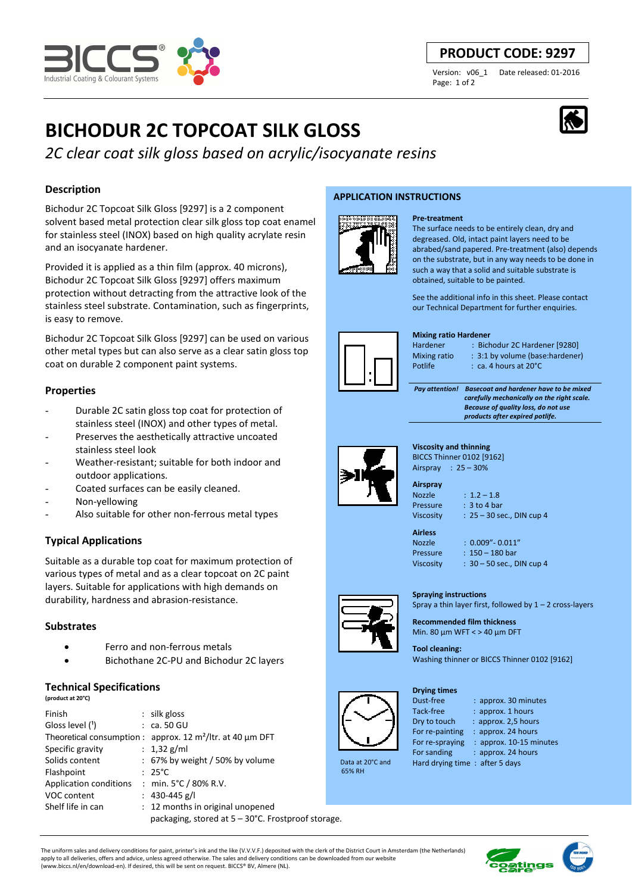

# **PRODUCT CODE: 9297**

Version: v06\_1 Date released: 01-2016 Page: 1 of 2

# **BICHODUR 2C TOPCOAT SILK GLOSS**

*2C clear coat silk gloss based on acrylic/isocyanate resins*

# **Description**

Bichodur 2C Topcoat Silk Gloss [9297] is a 2 component solvent based metal protection clear silk gloss top coat enamel for stainless steel (INOX) based on high quality acrylate resin and an isocyanate hardener.

Provided it is applied as a thin film (approx. 40 microns), Bichodur 2C Topcoat Silk Gloss [9297] offers maximum protection without detracting from the attractive look of the stainless steel substrate. Contamination, such as fingerprints, is easy to remove.

Bichodur 2C Topcoat Silk Gloss [9297] can be used on various other metal types but can also serve as a clear satin gloss top coat on durable 2 component paint systems.

# **Properties**

- Durable 2C satin gloss top coat for protection of stainless steel (INOX) and other types of metal.
- Preserves the aesthetically attractive uncoated stainless steel look
- Weather-resistant: suitable for both indoor and outdoor applications.
- Coated surfaces can be easily cleaned.
- Non-yellowing
- Also suitable for other non-ferrous metal types

# **Typical Applications**

Suitable as a durable top coat for maximum protection of various types of metal and as a clear topcoat on 2C paint layers. Suitable for applications with high demands on durability, hardness and abrasion-resistance.

# **Substrates**

- Ferro and non-ferrous metals
- Bichothane 2C-PU and Bichodur 2C layers

# **Technical Specifications**

| (product at 20°C)      |                                                               |  |  |
|------------------------|---------------------------------------------------------------|--|--|
| Finish                 | $:$ silk gloss                                                |  |  |
| Gloss level (1)        | $:$ ca. 50 GU                                                 |  |  |
|                        | Theoretical consumption : approx. 12 $m^2$ /ltr. at 40 µm DFT |  |  |
| Specific gravity       | : $1,32$ g/ml                                                 |  |  |
| Solids content         | $: 67\%$ by weight / 50% by volume                            |  |  |
| Flashpoint             | $: 25^{\circ}$ C                                              |  |  |
| Application conditions | : min. 5°C / 80% R.V.                                         |  |  |
| VOC content            | : 430-445 g/l                                                 |  |  |
| Shelf life in can      | : 12 months in original unopened                              |  |  |
|                        | packaging, stored at 5 – 30°C. Frostproof storage.            |  |  |

## **APPLICATION INSTRUCTIONS**



# **Pre-treatment**

The surface needs to be entirely clean, dry and degreased. Old, intact paint layers need to be abrabed/sand papered. Pre-treatment (also) depends on the substrate, but in any way needs to be done in such a way that a solid and suitable substrate is obtained, suitable to be painted.

See the additional info in this sheet. Please contact our Technical Department for further enquiries.

#### **Mixing ratio Hardener**

Hardener : Bichodur 2C Hardener [9280]

Mixing ratio : 3:1 by volume (base:hardener)

Potlife : ca. 4 hours at 20°C

 *Pay attention! Basecoat and hardener have to be mixed carefully mechanically on the right scale. Because of quality loss, do not use products after expired potlife.*



 Data at 20°C and 65% RH

# **Viscosity and thinning**  BICCS Thinner 0102 [9162] Airspray : 25 – 30%

**Airspray**  Nozzle : 1.2 – 1.8

Pressure : 3 to 4 bar Viscosity : 25 – 30 sec., DIN cup 4

**Airless** 

Nozzle : 0.009"- 0.011" Pressure : 150 – 180 bar Viscosity : 30 – 50 sec., DIN cup 4

**Spraying instructions**  Spray a thin layer first, followed by  $1 - 2$  cross-layers **Recommended film thickness**  Min. 80 µm WFT < > 40 µm DFT

**Tool cleaning:**  Washing thinner or BICCS Thinner 0102 [9162]

#### **Drying times**

Dust-free : approx. 30 minutes

- Tack-free : approx. 1 hours
- Dry to touch : approx. 2,5 hours
- For re-painting : approx. 24 hours
- For re-spraying : approx. 10-15 minutes
- For sanding : approx. 24 hours Hard drying time : after 5 days

The uniform sales and delivery conditions for paint, printer's ink and the like (V.V.V.F.) deposited with the clerk of the District Court in Amsterdam (the Netherlands) apply to all deliveries, offers and advice, unless agreed otherwise. The sales and delivery conditions can be downloaded from our website (www.biccs.nl/en/download-en). If desired, this will be sent on request. BICCS® BV, Almere (NL).